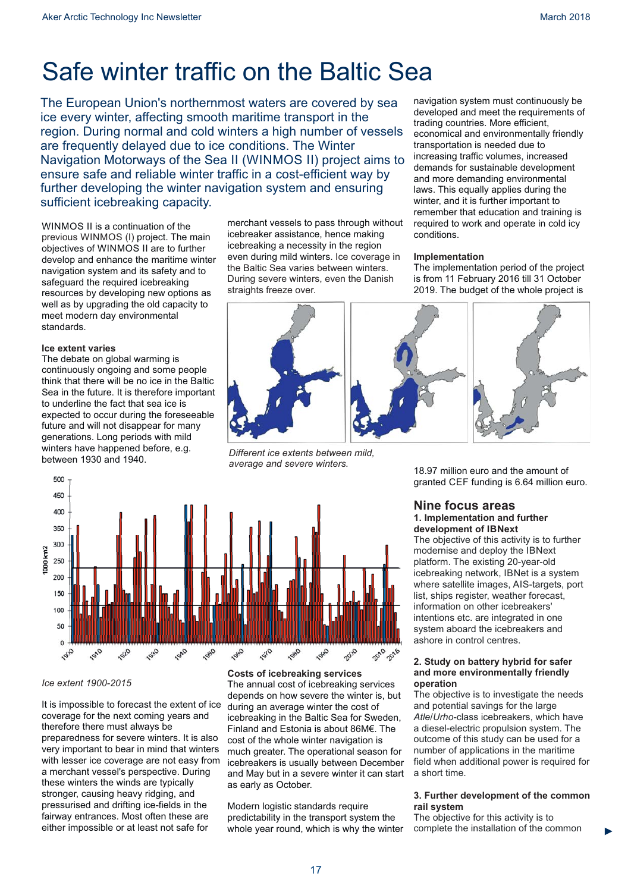# Safe winter traffic on the Baltic Sea

The European Union's northernmost waters are covered by sea ice every winter, affecting smooth maritime transport in the region. During normal and cold winters a high number of vessels are frequently delayed due to ice conditions. The Winter Navigation Motorways of the Sea II (WINMOS II) project aims to ensure safe and reliable winter traffic in a cost-efficient way by further developing the winter navigation system and ensuring sufficient icebreaking capacity.

WINMOS II is a continuation of the previous WINMOS (I) project. The main objectives of WINMOS II are to further develop and enhance the maritime winter navigation system and its safety and to safeguard the required icebreaking resources by developing new options as well as by upgrading the old capacity to meet modern day environmental standards.

#### **Ice extent varies**

The debate on global warming is continuously ongoing and some people think that there will be no ice in the Baltic Sea in the future. It is therefore important to underline the fact that sea ice is expected to occur during the foreseeable future and will not disappear for many generations. Long periods with mild winters have happened before, e.g. between 1930 and 1940.

merchant vessels to pass through without icebreaker assistance, hence making icebreaking a necessity in the region even during mild winters. Ice coverage in the Baltic Sea varies between winters. During severe winters, even the Danish straights freeze over.

navigation system must continuously be developed and meet the requirements of trading countries. More efficient, economical and environmentally friendly transportation is needed due to increasing traffic volumes, increased demands for sustainable development and more demanding environmental laws. This equally applies during the winter, and it is further important to remember that education and training is required to work and operate in cold icy conditions.

#### **Implementation**

The implementation period of the project is from 11 February 2016 till 31 October 2019. The budget of the whole project is



*Different ice extents between mild, average and severe winters.*



### *Ice extent 1900-2015*

It is impossible to forecast the extent of ice coverage for the next coming years and therefore there must always be preparedness for severe winters. It is also very important to bear in mind that winters with lesser ice coverage are not easy from a merchant vessel's perspective. During these winters the winds are typically stronger, causing heavy ridging, and pressurised and drifting ice-fields in the fairway entrances. Most often these are either impossible or at least not safe for

**Costs of icebreaking services** The annual cost of icebreaking services depends on how severe the winter is, but during an average winter the cost of icebreaking in the Baltic Sea for Sweden, Finland and Estonia is about 86M€. The cost of the whole winter navigation is much greater. The operational season for icebreakers is usually between December and May but in a severe winter it can start as early as October.

Modern logistic standards require predictability in the transport system the whole year round, which is why the winter 18.97 million euro and the amount of granted CEF funding is 6.64 million euro.

### **Nine focus areas 1. Implementation and further development of IBNext**

The objective of this activity is to further modernise and deploy the IBNext platform. The existing 20-year-old icebreaking network, IBNet is a system where satellite images, AIS-targets, port list, ships register, weather forecast, information on other icebreakers' intentions etc. are integrated in one system aboard the icebreakers and ashore in control centres.

#### **2. Study on battery hybrid for safer and more environmentally friendly operation**

The objective is to investigate the needs and potential savings for the large Atle/Urho-class icebreakers, which have a diesel-electric propulsion system. The outcome of this study can be used for a number of applications in the maritime field when additional power is required for a short time.

#### **3. Further development of the common rail system**

The objective for this activity is to complete the installation of the common